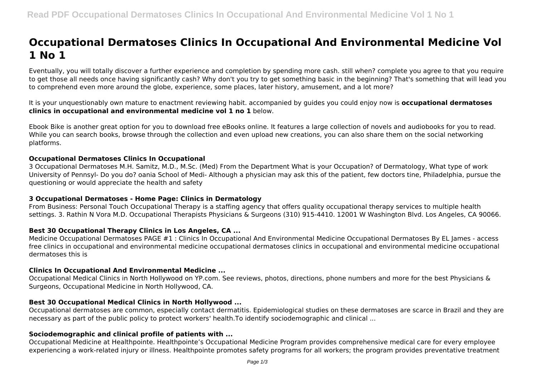# **Occupational Dermatoses Clinics In Occupational And Environmental Medicine Vol 1 No 1**

Eventually, you will totally discover a further experience and completion by spending more cash. still when? complete you agree to that you require to get those all needs once having significantly cash? Why don't you try to get something basic in the beginning? That's something that will lead you to comprehend even more around the globe, experience, some places, later history, amusement, and a lot more?

It is your unquestionably own mature to enactment reviewing habit. accompanied by guides you could enjoy now is **occupational dermatoses clinics in occupational and environmental medicine vol 1 no 1** below.

Ebook Bike is another great option for you to download free eBooks online. It features a large collection of novels and audiobooks for you to read. While you can search books, browse through the collection and even upload new creations, you can also share them on the social networking platforms.

## **Occupational Dermatoses Clinics In Occupational**

3 Occupational Dermatoses M.H. Samitz, M.D., M.Sc. (Med) From the Department What is your Occupation? of Dermatology, What type of work University of Pennsyl- Do you do? oania School of Medi- Although a physician may ask this of the patient, few doctors tine, Philadelphia, pursue the questioning or would appreciate the health and safety

## **3 Occupational Dermatoses - Home Page: Clinics in Dermatology**

From Business: Personal Touch Occupational Therapy is a staffing agency that offers quality occupational therapy services to multiple health settings. 3. Rathin N Vora M.D. Occupational Therapists Physicians & Surgeons (310) 915-4410. 12001 W Washington Blvd. Los Angeles, CA 90066.

## **Best 30 Occupational Therapy Clinics in Los Angeles, CA ...**

Medicine Occupational Dermatoses PAGE #1 : Clinics In Occupational And Environmental Medicine Occupational Dermatoses By EL James - access free clinics in occupational and environmental medicine occupational dermatoses clinics in occupational and environmental medicine occupational dermatoses this is

## **Clinics In Occupational And Environmental Medicine ...**

Occupational Medical Clinics in North Hollywood on YP.com. See reviews, photos, directions, phone numbers and more for the best Physicians & Surgeons, Occupational Medicine in North Hollywood, CA.

## **Best 30 Occupational Medical Clinics in North Hollywood ...**

Occupational dermatoses are common, especially contact dermatitis. Epidemiological studies on these dermatoses are scarce in Brazil and they are necessary as part of the public policy to protect workers' health.To identify sociodemographic and clinical ...

## **Sociodemographic and clinical profile of patients with ...**

Occupational Medicine at Healthpointe. Healthpointe's Occupational Medicine Program provides comprehensive medical care for every employee experiencing a work-related injury or illness. Healthpointe promotes safety programs for all workers; the program provides preventative treatment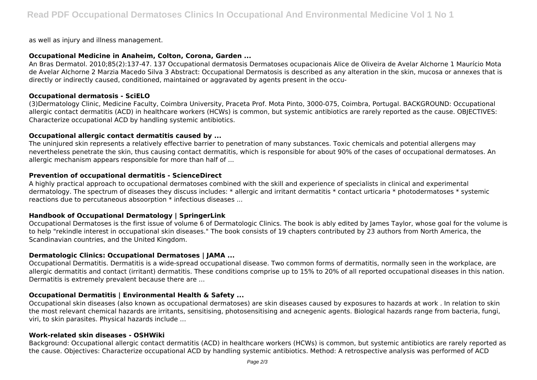as well as injury and illness management.

## **Occupational Medicine in Anaheim, Colton, Corona, Garden ...**

An Bras Dermatol. 2010;85(2):137-47. 137 Occupational dermatosis Dermatoses ocupacionais Alice de Oliveira de Avelar Alchorne 1 Maurício Mota de Avelar Alchorne 2 Marzia Macedo Silva 3 Abstract: Occupational Dermatosis is described as any alteration in the skin, mucosa or annexes that is directly or indirectly caused, conditioned, maintained or aggravated by agents present in the occu-

## **Occupational dermatosis - SciELO**

(3)Dermatology Clinic, Medicine Faculty, Coimbra University, Praceta Prof. Mota Pinto, 3000-075, Coimbra, Portugal. BACKGROUND: Occupational allergic contact dermatitis (ACD) in healthcare workers (HCWs) is common, but systemic antibiotics are rarely reported as the cause. OBJECTIVES: Characterize occupational ACD by handling systemic antibiotics.

## **Occupational allergic contact dermatitis caused by ...**

The uninjured skin represents a relatively effective barrier to penetration of many substances. Toxic chemicals and potential allergens may nevertheless penetrate the skin, thus causing contact dermatitis, which is responsible for about 90% of the cases of occupational dermatoses. An allergic mechanism appears responsible for more than half of ...

## **Prevention of occupational dermatitis - ScienceDirect**

A highly practical approach to occupational dermatoses combined with the skill and experience of specialists in clinical and experimental dermatology. The spectrum of diseases they discuss includes: \* allergic and irritant dermatitis \* contact urticaria \* photodermatoses \* systemic reactions due to percutaneous absoorption \* infectious diseases ...

# **Handbook of Occupational Dermatology | SpringerLink**

Occupational Dermatoses is the first issue of volume 6 of Dermatologic Clinics. The book is ably edited by James Taylor, whose goal for the volume is to help "rekindle interest in occupational skin diseases." The book consists of 19 chapters contributed by 23 authors from North America, the Scandinavian countries, and the United Kingdom.

## **Dermatologic Clinics: Occupational Dermatoses | JAMA ...**

Occupational Dermatitis. Dermatitis is a wide-spread occupational disease. Two common forms of dermatitis, normally seen in the workplace, are allergic dermatitis and contact (irritant) dermatitis. These conditions comprise up to 15% to 20% of all reported occupational diseases in this nation. Dermatitis is extremely prevalent because there are ...

# **Occupational Dermatitis | Environmental Health & Safety ...**

Occupational skin diseases (also known as occupational dermatoses) are skin diseases caused by exposures to hazards at work . In relation to skin the most relevant chemical hazards are irritants, sensitising, photosensitising and acnegenic agents. Biological hazards range from bacteria, fungi, viri, to skin parasites. Physical hazards include ...

## **Work-related skin diseases - OSHWiki**

Background: Occupational allergic contact dermatitis (ACD) in healthcare workers (HCWs) is common, but systemic antibiotics are rarely reported as the cause. Objectives: Characterize occupational ACD by handling systemic antibiotics. Method: A retrospective analysis was performed of ACD